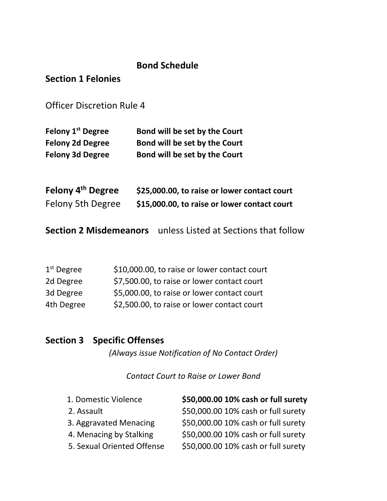# **Bond Schedule**

# **Section 1 Felonies**

Officer Discretion Rule 4

| Felony 1 <sup>st</sup> Degree | Bond will be set by the Court |
|-------------------------------|-------------------------------|
| <b>Felony 2d Degree</b>       | Bond will be set by the Court |
| <b>Felony 3d Degree</b>       | Bond will be set by the Court |

| Felony 4 <sup>th</sup> Degree | \$25,000.00, to raise or lower contact court |
|-------------------------------|----------------------------------------------|
| <b>Felony 5th Degree</b>      | \$15,000.00, to raise or lower contact court |

**Section 2 Misdemeanors** unless Listed at Sections that follow

| $1st$ Degree | \$10,000.00, to raise or lower contact court |
|--------------|----------------------------------------------|
| 2d Degree    | \$7,500.00, to raise or lower contact court  |
| 3d Degree    | \$5,000.00, to raise or lower contact court  |
| 4th Degree   | \$2,500.00, to raise or lower contact court  |

# **Section 3 Specific Offenses**

*(Always issue Notification of No Contact Order)*

*Contact Court to Raise or Lower Bond*

| 1. Domestic Violence       | \$50,000.00 10% cash or full surety |
|----------------------------|-------------------------------------|
| 2. Assault                 | \$50,000.00 10% cash or full surety |
| 3. Aggravated Menacing     | \$50,000.00 10% cash or full surety |
| 4. Menacing by Stalking    | \$50,000.00 10% cash or full surety |
| 5. Sexual Oriented Offense | \$50,000.00 10% cash or full surety |
|                            |                                     |